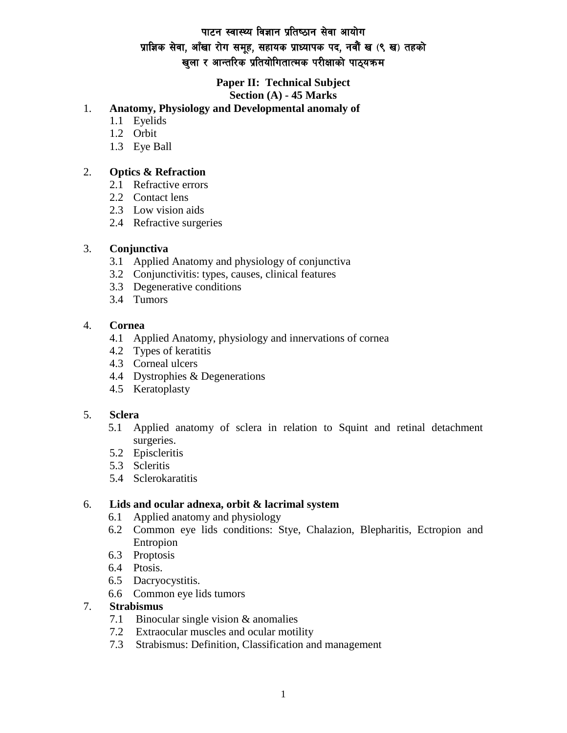# पाटन स्वास्थ्य विज्ञान प्रतिष्ठान सेवा आयोग प्राज्ञिक सेवा, आँखा रोग समूह, सहायक प्राध्यापक पद, नवौं ख (९ ख) तहको खुला र आन्तरिक प्रतियोगितात्मक परीक्षाको पाठ्यक्रम

#### **Paper II: Technical Subject Section (A) - 45 Marks**

# 1. **Anatomy, Physiology and Developmental anomaly of**

- 1.1 Eyelids
- 1.2 Orbit
- 1.3 Eye Ball

# 2. **Optics & Refraction**

- 2.1 Refractive errors
- 2.2 Contact lens
- 2.3 Low vision aids
- 2.4 Refractive surgeries

# 3. **Conjunctiva**

- 3.1 Applied Anatomy and physiology of conjunctiva
- 3.2 Conjunctivitis: types, causes, clinical features
- 3.3 Degenerative conditions
- 3.4 Tumors

# 4. **Cornea**

- 4.1 Applied Anatomy, physiology and innervations of cornea
- 4.2 Types of keratitis
- 4.3 Corneal ulcers
- 4.4 Dystrophies & Degenerations
- 4.5 Keratoplasty

# 5. **Sclera**

- 5.1 Applied anatomy of sclera in relation to Squint and retinal detachment surgeries.
- 5.2 Episcleritis
- 5.3 Scleritis
- 5.4 Sclerokaratitis

#### 6. **Lids and ocular adnexa, orbit & lacrimal system**

- 6.1 Applied anatomy and physiology
- 6.2 Common eye lids conditions: Stye, Chalazion, Blepharitis, Ectropion and Entropion
- 6.3 Proptosis
- 6.4 Ptosis.
- 6.5 Dacryocystitis.
- 6.6 Common eye lids tumors

#### 7. **Strabismus**

- 7.1 Binocular single vision & anomalies
- 7.2 Extraocular muscles and ocular motility
- 7.3 Strabismus: Definition, Classification and management